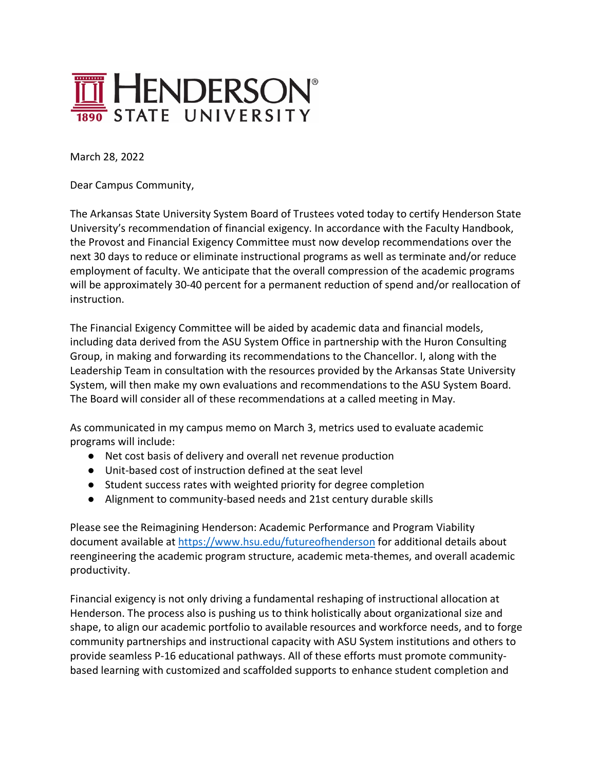

March 28, 2022

Dear Campus Community,

The Arkansas State University System Board of Trustees voted today to certify Henderson State University's recommendation of financial exigency. In accordance with the Faculty Handbook, the Provost and Financial Exigency Committee must now develop recommendations over the next 30 days to reduce or eliminate instructional programs as well as terminate and/or reduce employment of faculty. We anticipate that the overall compression of the academic programs will be approximately 30-40 percent for a permanent reduction of spend and/or reallocation of instruction.

The Financial Exigency Committee will be aided by academic data and financial models, including data derived from the ASU System Office in partnership with the Huron Consulting Group, in making and forwarding its recommendations to the Chancellor. I, along with the Leadership Team in consultation with the resources provided by the Arkansas State University System, will then make my own evaluations and recommendations to the ASU System Board. The Board will consider all of these recommendations at a called meeting in May.

As communicated in my campus memo on March 3, metrics used to evaluate academic programs will include:

- Net cost basis of delivery and overall net revenue production
- Unit-based cost of instruction defined at the seat level
- Student success rates with weighted priority for degree completion
- Alignment to community-based needs and 21st century durable skills

Please see the Reimagining Henderson: Academic Performance and Program Viability document available at https://www.hsu.edu/futureofhenderson for additional details about reengineering the academic program structure, academic meta-themes, and overall academic productivity.

Financial exigency is not only driving a fundamental reshaping of instructional allocation at Henderson. The process also is pushing us to think holistically about organizational size and shape, to align our academic portfolio to available resources and workforce needs, and to forge community partnerships and instructional capacity with ASU System institutions and others to provide seamless P-16 educational pathways. All of these efforts must promote communitybased learning with customized and scaffolded supports to enhance student completion and